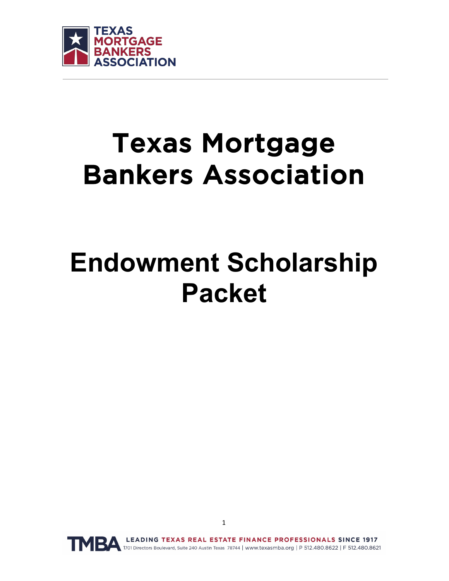

# Texas Mortgage Bankers Association

# **Endowment Scholarship Packet**

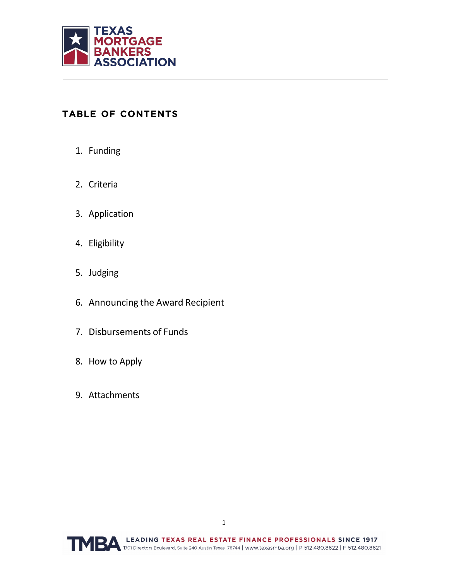

## TABLE OF CONTENTS

- 1. Funding
- 2. Criteria
- 3. Application
- 4. Eligibility
- 5. Judging
- 6. Announcing the Award Recipient
- 7. Disbursements of Funds
- 8. How to Apply
- 9. Attachments

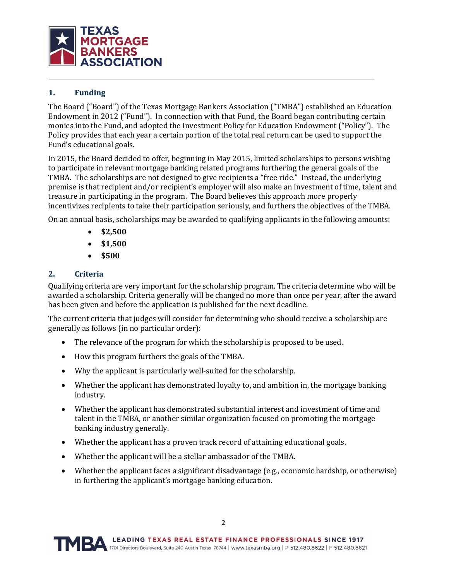

#### **1. Funding**

The Board ("Board") of the Texas Mortgage Bankers Association ("TMBA") established an Education Endowment in 2012 ("Fund"). In connection with that Fund, the Board began contributing certain monies into the Fund, and adopted the Investment Policy for Education Endowment ("Policy"). The Policy provides that each year a certain portion of the total real return can be used to support the Fund's educational goals.

In 2015, the Board decided to offer, beginning in May 2015, limited scholarships to persons wishing to participate in relevant mortgage banking related programs furthering the general goals of the TMBA. The scholarships are not designed to give recipients a "free ride." Instead, the underlying premise is that recipient and/or recipient's employer will also make an investment of time, talent and treasure in participating in the program. The Board believes this approach more properly incentivizes recipients to take their participation seriously, and furthers the objectives of the TMBA.

On an annual basis, scholarships may be awarded to qualifying applicants in the following amounts:

- **\$2,500**
- **\$1,500**
- **\$500**

#### **2. Criteria**

Qualifying criteria are very important for the scholarship program. The criteria determine who will be awarded a scholarship. Criteria generally will be changed no more than once per year, after the award has been given and before the application is published for the next deadline.

The current criteria that judges will consider for determining who should receive a scholarship are generally as follows (in no particular order):

- The relevance of the program for which the scholarship is proposed to be used.
- How this program furthers the goals of the TMBA.
- Why the applicant is particularly well-suited for the scholarship.
- Whether the applicant has demonstrated loyalty to, and ambition in, the mortgage banking industry.
- Whether the applicant has demonstrated substantial interest and investment of time and talent in the TMBA, or another similar organization focused on promoting the mortgage banking industry generally.
- Whether the applicant has a proven track record of attaining educational goals.
- Whether the applicant will be a stellar ambassador of the TMBA.
- Whether the applicant faces a significant disadvantage (e.g., economic hardship, or otherwise) in furthering the applicant's mortgage banking education.

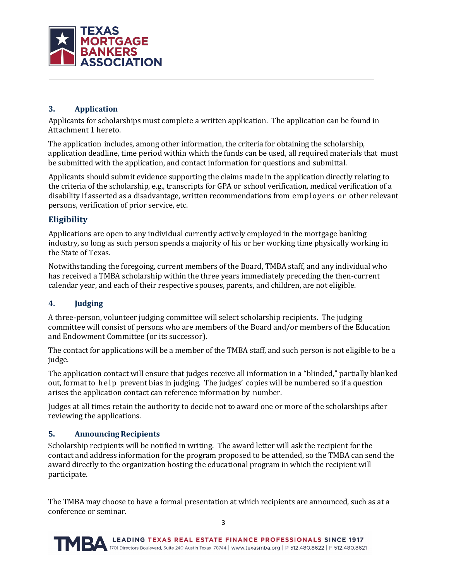

#### **3. Application**

Applicants for scholarships must complete a written application. The application can be found in Attachment 1 hereto.

The application includes, among other information, the criteria for obtaining the scholarship, application deadline, time period within which the funds can be used, all required materials that must be submitted with the application, and contact information for questions and submittal.

Applicants should submit evidence supporting the claims made in the application directly relating to the criteria of the scholarship, e.g., transcripts for GPA or school verification, medical verification of a disability if asserted as a disadvantage, written recommendations from employers or other relevant persons, verification of prior service, etc.

#### **Eligibility**

Applications are open to any individual currently actively employed in the mortgage banking industry, so long as such person spends a majority of his or her working time physically working in the State of Texas.

Notwithstanding the foregoing, current members of the Board, TMBA staff, and any individual who has received a TMBA scholarship within the three years immediately preceding the then-current calendar year, and each of their respective spouses, parents, and children, are not eligible.

#### **4. Judging**

A three-person, volunteer judging committee will select scholarship recipients. The judging committee will consist of persons who are members of the Board and/or members of the Education and Endowment Committee (or its successor).

The contact for applications will be a member of the TMBA staff, and such person is not eligible to be a judge.

The application contact will ensure that judges receive all information in a "blinded," partially blanked out, format to help prevent bias in judging. The judges' copies will be numbered so if a question arises the application contact can reference information by number.

Judges at all times retain the authority to decide not to award one or more of the scholarships after reviewing the applications.

#### **5. AnnouncingRecipients**

Scholarship recipients will be notified in writing. The award letter will ask the recipient for the contact and address information for the program proposed to be attended, so the TMBA can send the award directly to the organization hosting the educational program in which the recipient will participate.

The TMBA may choose to have a formal presentation at which recipients are announced, such as at a conference or seminar.

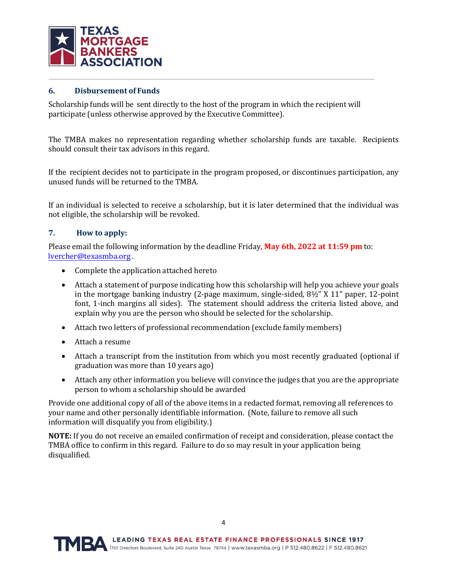

#### **6. Disbursement of Funds**

Scholarship funds will be sent directly to the host of the program in which the recipient will participate (unless otherwise approved by the Executive Committee).

The TMBA makes no representation regarding whether scholarship funds are taxable. Recipients should consult their tax advisors in this regard.

If the recipient decides not to participate in the program proposed, or discontinues participation, any unused funds will be returned to the TMBA.

If an individual is selected to receive a scholarship, but it is later determined that the individual was not eligible, the scholarship will be revoked.

#### **7. How to apply:**

Please email the following information by the deadline Friday, **May 6th, 2022 at 11:59 pm** to: [lvercher@texasmba.org](mailto:lvercher@texasmba.org) .

- Complete the application attached hereto
- Attach a statement of purpose indicating how this scholarship will help you achieve your goals in the mortgage banking industry (2-page maximum, single-sided, 8½" X 11" paper, 12-point font, 1-inch margins all sides). The statement should address the criteria listed above, and explain why you are the person who should be selected for the scholarship.
- Attach two letters of professional recommendation (exclude family members)
- Attach a resume
- Attach a transcript from the institution from which you most recently graduated (optional if graduation was more than 10 years ago)
- Attach any other information you believe will convince the judges that you are the appropriate person to whom a scholarship should be awarded

Provide one additional copy of all of the above items in a redacted format, removing all references to your name and other personally identifiable information. (Note, failure to remove all such information will disqualify you from eligibility.)

**NOTE:** If you do not receive an emailed confirmation of receipt and consideration, please contact the TMBA office to confirm in this regard. Failure to do so may result in your application being disqualified.

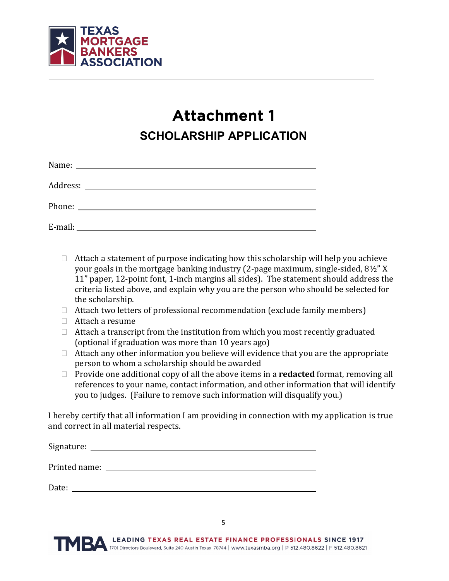

# Attachment 1 **SCHOLARSHIP APPLICATION**

| Name: $\overline{\phantom{a}}$ |  |  |
|--------------------------------|--|--|
|                                |  |  |
|                                |  |  |
|                                |  |  |

- $\Box$  Attach a statement of purpose indicating how this scholarship will help you achieve your goals in the mortgage banking industry (2-page maximum, single-sided, 8½" X 11" paper, 12-point font, 1-inch margins all sides). The statement should address the criteria listed above, and explain why you are the person who should be selected for the scholarship.
- $\Box$  Attach two letters of professional recommendation (exclude family members)
- Attach a resume
- $\Box$  Attach a transcript from the institution from which you most recently graduated (optional if graduation was more than 10 years ago)
- $\Box$  Attach any other information you believe will evidence that you are the appropriate person to whom a scholarship should be awarded
- Provide one additional copy of all the above items in a **redacted** format, removing all references to your name, contact information, and other information that will identify you to judges. (Failure to remove such information will disqualify you.)

I hereby certify that all information I am providing in connection with my application is true and correct in all material respects.

| Signature:    |  |  |  |
|---------------|--|--|--|
| Printed name: |  |  |  |
| Date:         |  |  |  |

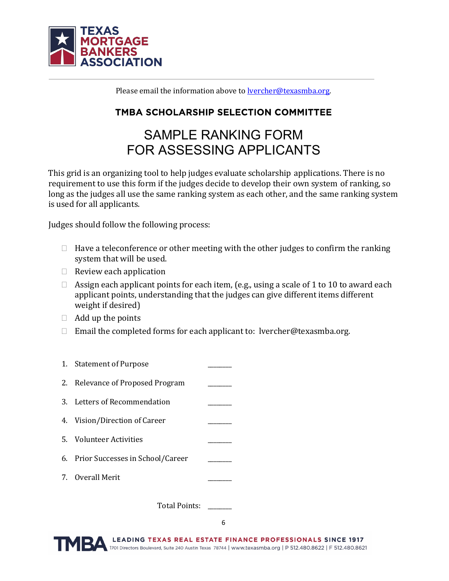

Please email the information above to **lyercher@texasmba.org**.

## TMBA SCHOLARSHIP SELECTION COMMITTEE

# SAMPLE RANKING FORM FOR ASSESSING APPLICANTS

This grid is an organizing tool to help judges evaluate scholarship applications. There is no requirement to use this form if the judges decide to develop their own system of ranking, so long as the judges all use the same ranking system as each other, and the same ranking system is used for all applicants.

Judges should follow the following process:

- $\Box$  Have a teleconference or other meeting with the other judges to confirm the ranking system that will be used.
- $\Box$  Review each application
- $\Box$  Assign each applicant points for each item, (e.g., using a scale of 1 to 10 to award each applicant points, understanding that the judges can give different items different weight if desired)
- $\Box$  Add up the points
- $\Box$  Email the completed forms for each applicant to: lvercher@texasmba.org.



Total Points: \_\_\_\_\_\_\_\_

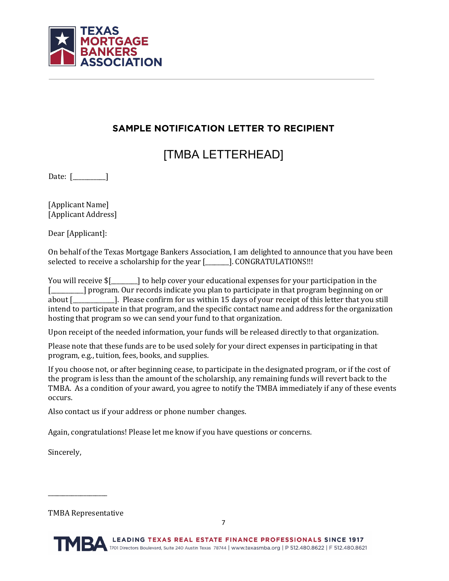

## SAMPLE NOTIFICATION LETTER TO RECIPIENT

[TMBA LETTERHEAD]

Date: [\_\_\_\_\_\_\_\_\_\_\_]

[Applicant Name] [Applicant Address]

Dear [Applicant]:

On behalf of the Texas Mortgage Bankers Association, I am delighted to announce that you have been selected to receive a scholarship for the year [\_\_\_\_\_\_\_]. CONGRATULATIONS!!!

You will receive  $\frac{1}{2}$  to help cover your educational expenses for your participation in the [\_\_\_\_\_\_\_] program. Our records indicate you plan to participate in that program beginning on or about [\_\_\_\_\_\_\_\_\_\_\_\_\_\_]. Please confirm for us within 15 days of your receipt of this letter that you still intend to participate in that program, and the specific contact name and address for the organization hosting that program so we can send your fund to that organization.

Upon receipt of the needed information, your funds will be released directly to that organization.

Please note that these funds are to be used solely for your direct expenses in participating in that program, e.g., tuition, fees, books, and supplies.

If you choose not, or after beginning cease, to participate in the designated program, or if the cost of the program is less than the amount of the scholarship, any remaining funds will revert back to the TMBA. As a condition of your award, you agree to notify the TMBA immediately if any of these events occurs.

Also contact us if your address or phone number changes.

Again, congratulations! Please let me know if you have questions or concerns.

Sincerely,

TMBA Representative

 $\overline{\phantom{a}}$